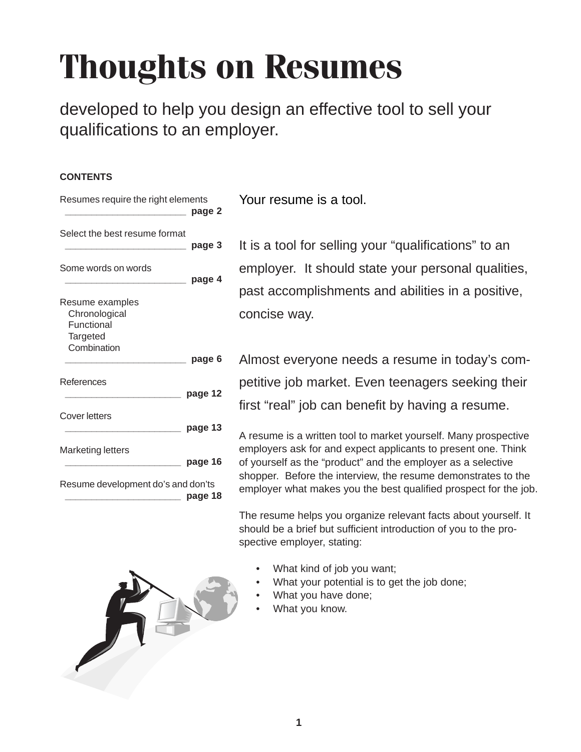# **Thoughts on Resumes**

developed to help you design an effective tool to sell your qualifications to an employer.

### **CONTENTS**

| Resumes require the right elements                                        | page 2  |
|---------------------------------------------------------------------------|---------|
| Select the best resume format                                             | page 3  |
| Some words on words                                                       | page 4  |
| Resume examples<br>Chronological<br>Functional<br>Targeted<br>Combination | page 6  |
| References                                                                | page 12 |
| Cover letters                                                             | page 13 |
| Marketing letters                                                         | page 16 |
| Resume development do's and don'ts                                        | page 18 |

Your resume is a tool.

It is a tool for selling your "qualifications" to an employer. It should state your personal qualities, past accomplishments and abilities in a positive, concise way.

Almost everyone needs a resume in today's competitive job market. Even teenagers seeking their first "real" job can benefit by having a resume.

A resume is a written tool to market yourself. Many prospective employers ask for and expect applicants to present one. Think of yourself as the "product" and the employer as a selective shopper. Before the interview, the resume demonstrates to the employer what makes you the best qualified prospect for the job.

The resume helps you organize relevant facts about yourself. It should be a brief but sufficient introduction of you to the prospective employer, stating:

- What kind of job you want;
- What your potential is to get the job done;
- What you have done;
- What you know.

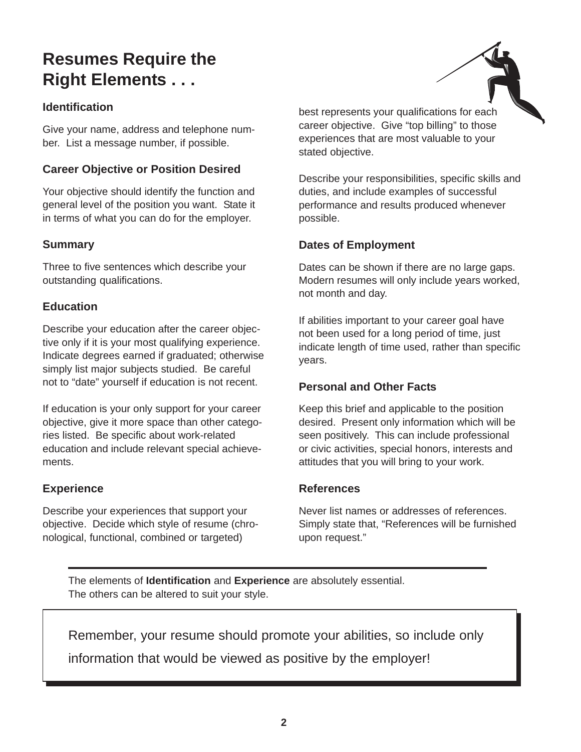# **Resumes Require the Right Elements . . .**

# **Identification**

Give your name, address and telephone number. List a message number, if possible.

# **Career Objective or Position Desired**

Your objective should identify the function and general level of the position you want. State it in terms of what you can do for the employer.

# **Summary**

Three to five sentences which describe your outstanding qualifications.

# **Education**

Describe your education after the career objective only if it is your most qualifying experience. Indicate degrees earned if graduated; otherwise simply list major subjects studied. Be careful not to "date" yourself if education is not recent.

If education is your only support for your career objective, give it more space than other categories listed. Be specific about work-related education and include relevant special achievements.

# **Experience**

Describe your experiences that support your objective. Decide which style of resume (chronological, functional, combined or targeted)



best represents your qualifications for each career objective. Give "top billing" to those experiences that are most valuable to your stated objective.

Describe your responsibilities, specific skills and duties, and include examples of successful performance and results produced whenever possible.

# **Dates of Employment**

Dates can be shown if there are no large gaps. Modern resumes will only include years worked, not month and day.

If abilities important to your career goal have not been used for a long period of time, just indicate length of time used, rather than specific years.

# **Personal and Other Facts**

Keep this brief and applicable to the position desired. Present only information which will be seen positively. This can include professional or civic activities, special honors, interests and attitudes that you will bring to your work.

### **References**

Never list names or addresses of references. Simply state that, "References will be furnished upon request."

The elements of **Identification** and **Experience** are absolutely essential. The others can be altered to suit your style.

Remember, your resume should promote your abilities, so include only information that would be viewed as positive by the employer!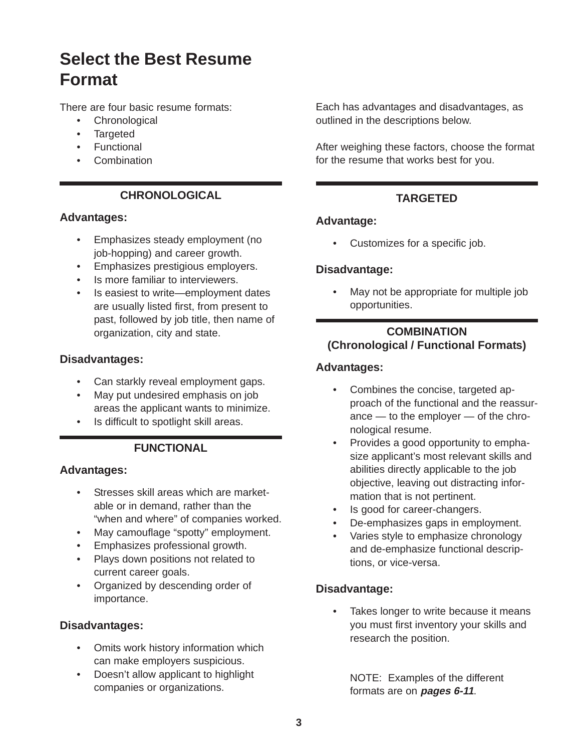# **Select the Best Resume Format**

There are four basic resume formats:

- Chronological
- Targeted
- Functional
- Combination

# **CHRONOLOGICAL**

# **Advantages:**

- Emphasizes steady employment (no job-hopping) and career growth.
- Emphasizes prestigious employers.
- Is more familiar to interviewers.
- Is easiest to write—employment dates are usually listed first, from present to past, followed by job title, then name of organization, city and state.

# **Disadvantages:**

- Can starkly reveal employment gaps.
- May put undesired emphasis on job areas the applicant wants to minimize.
- Is difficult to spotlight skill areas.

# **FUNCTIONAL**

# **Advantages:**

- Stresses skill areas which are marketable or in demand, rather than the "when and where" of companies worked.
- May camouflage "spotty" employment.
- Emphasizes professional growth.
- Plays down positions not related to current career goals.
- Organized by descending order of importance.

# **Disadvantages:**

- Omits work history information which can make employers suspicious.
- Doesn't allow applicant to highlight companies or organizations.

Each has advantages and disadvantages, as outlined in the descriptions below.

After weighing these factors, choose the format for the resume that works best for you.

# **TARGETED**

# **Advantage:**

• Customizes for a specific job.

# **Disadvantage:**

• May not be appropriate for multiple job opportunities.

# **COMBINATION (Chronological / Functional Formats)**

# **Advantages:**

- Combines the concise, targeted approach of the functional and the reassurance — to the employer — of the chronological resume.
- Provides a good opportunity to emphasize applicant's most relevant skills and abilities directly applicable to the job objective, leaving out distracting information that is not pertinent.
- Is good for career-changers.
- De-emphasizes gaps in employment.
- Varies style to emphasize chronology and de-emphasize functional descriptions, or vice-versa.

# **Disadvantage:**

• Takes longer to write because it means you must first inventory your skills and research the position.

NOTE: Examples of the different formats are on **pages 6-11**.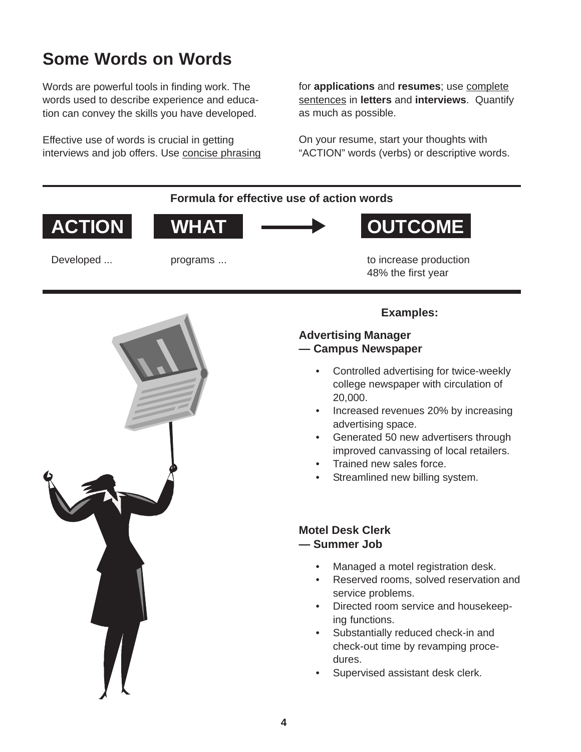# **Some Words on Words**

Words are powerful tools in finding work. The words used to describe experience and education can convey the skills you have developed.

Effective use of words is crucial in getting interviews and job offers. Use concise phrasing for **applications** and **resumes**; use complete sentences in **letters** and **interviews**. Quantify as much as possible.

On your resume, start your thoughts with "ACTION" words (verbs) or descriptive words.

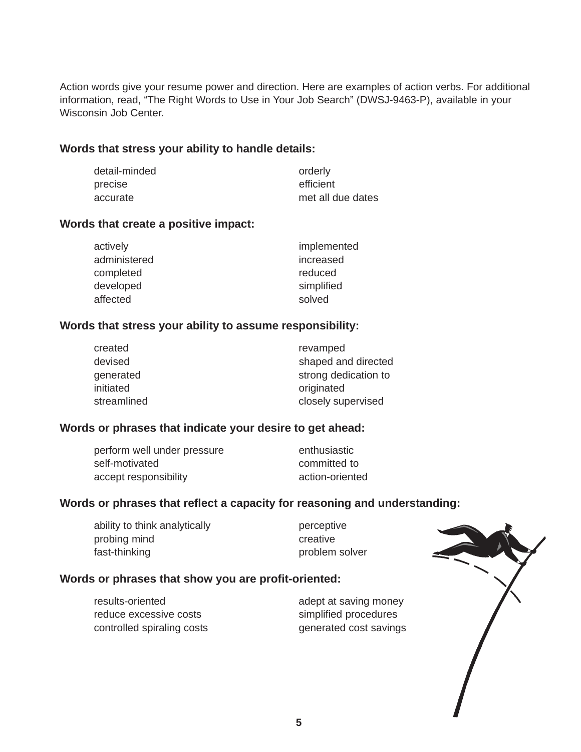Action words give your resume power and direction. Here are examples of action verbs. For additional information, read, "The Right Words to Use in Your Job Search" (DWSJ-9463-P), available in your Wisconsin Job Center.

#### **Words that stress your ability to handle details:**

| detail-minded | orderly           |
|---------------|-------------------|
| precise       | efficient         |
| accurate      | met all due dates |

#### **Words that create a positive impact:**

| actively     | implemented |
|--------------|-------------|
| administered | increased   |
| completed    | reduced     |
| developed    | simplified  |
| affected     | solved      |

#### **Words that stress your ability to assume responsibility:**

| created     | revamped             |
|-------------|----------------------|
| devised     | shaped and directed  |
| generated   | strong dedication to |
| initiated   | originated           |
| streamlined | closely supervised   |

### **Words or phrases that indicate your desire to get ahead:**

| perform well under pressure | enthusiastic    |
|-----------------------------|-----------------|
| self-motivated              | committed to    |
| accept responsibility       | action-oriented |

### **Words or phrases that reflect a capacity for reasoning and understanding:**

| ability to think analytically |
|-------------------------------|
| probing mind                  |
| fast-thinking                 |

perceptive creative problem solver

#### **Words or phrases that show you are profit-oriented:**

results-oriented and adept at saving money reduce excessive costs simplified procedures controlled spiraling costs generated cost savings

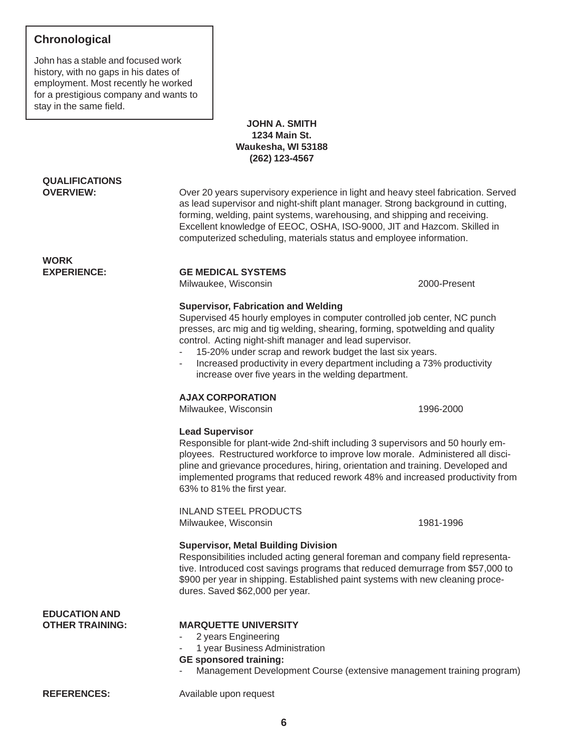# **Chronological**

John has a stable and focused work history, with no gaps in his dates of employment. Most recently he worked for a prestigious company and wants to stay in the same field.

#### **JOHN A. SMITH 1234 Main St. Waukesha, WI 53188 (262) 123-4567**

# **QUALIFICATIONS**

**OVERVIEW:** Over 20 years supervisory experience in light and heavy steel fabrication. Served as lead supervisor and night-shift plant manager. Strong background in cutting, forming, welding, paint systems, warehousing, and shipping and receiving. Excellent knowledge of EEOC, OSHA, ISO-9000, JIT and Hazcom. Skilled in computerized scheduling, materials status and employee information.

# **WORK**

#### **EXPERIENCE: GE MEDICAL SYSTEMS**

Milwaukee, Wisconsin 2000-Present

#### **Supervisor, Fabrication and Welding**

Supervised 45 hourly employes in computer controlled job center, NC punch presses, arc mig and tig welding, shearing, forming, spotwelding and quality control. Acting night-shift manager and lead supervisor.

- 15-20% under scrap and rework budget the last six years.
- Increased productivity in every department including a 73% productivity increase over five years in the welding department.

#### **AJAX CORPORATION**

Milwaukee, Wisconsin and a metal of the 1996-2000

#### **Lead Supervisor**

Responsible for plant-wide 2nd-shift including 3 supervisors and 50 hourly employees. Restructured workforce to improve low morale. Administered all discipline and grievance procedures, hiring, orientation and training. Developed and implemented programs that reduced rework 48% and increased productivity from 63% to 81% the first year.

INLAND STEEL PRODUCTS Milwaukee, Wisconsin 1981-1996

#### **Supervisor, Metal Building Division**

Responsibilities included acting general foreman and company field representative. Introduced cost savings programs that reduced demurrage from \$57,000 to \$900 per year in shipping. Established paint systems with new cleaning procedures. Saved \$62,000 per year.

| <b>EDUCATION AND</b> |                                                                                                                                                                                                      |  |
|----------------------|------------------------------------------------------------------------------------------------------------------------------------------------------------------------------------------------------|--|
| OTHER TRAINING:      | <b>MARQUETTE UNIVERSITY</b><br>- 2 years Engineering<br>- 1 year Business Administration<br><b>GE</b> sponsored training:<br>- Management Development Course (extensive management training program) |  |
| <b>REFERENCES:</b>   | Available upon request                                                                                                                                                                               |  |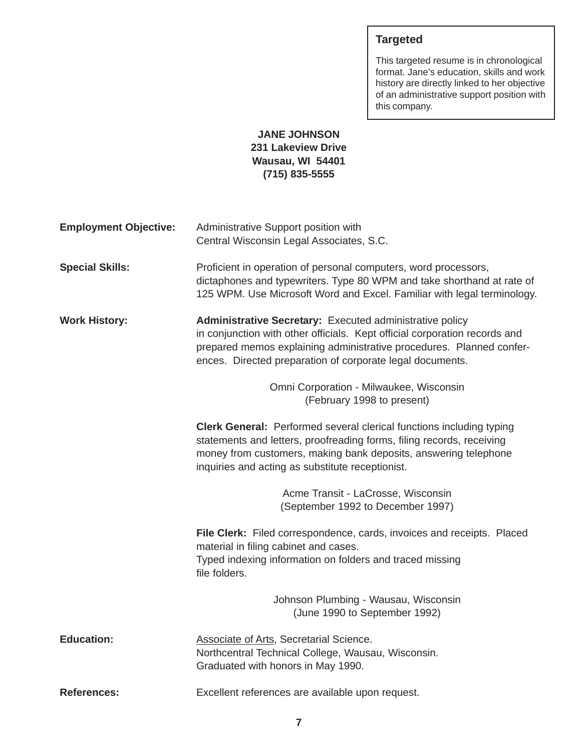# **Targeted**

This targeted resume is in chronological format. Jane's education, skills and work history are directly linked to her objective of an administrative support position with this company.

### **JANE JOHNSON 231 Lakeview Drive Wausau, WI 54401 (715) 835-5555**

| <b>Employment Objective:</b> | Administrative Support position with<br>Central Wisconsin Legal Associates, S.C.                                                                                                                                                                                            |
|------------------------------|-----------------------------------------------------------------------------------------------------------------------------------------------------------------------------------------------------------------------------------------------------------------------------|
| <b>Special Skills:</b>       | Proficient in operation of personal computers, word processors,<br>dictaphones and typewriters. Type 80 WPM and take shorthand at rate of<br>125 WPM. Use Microsoft Word and Excel. Familiar with legal terminology.                                                        |
| <b>Work History:</b>         | Administrative Secretary: Executed administrative policy<br>in conjunction with other officials. Kept official corporation records and<br>prepared memos explaining administrative procedures. Planned confer-<br>ences. Directed preparation of corporate legal documents. |
|                              | Omni Corporation - Milwaukee, Wisconsin<br>(February 1998 to present)                                                                                                                                                                                                       |
|                              | <b>Clerk General:</b> Performed several clerical functions including typing<br>statements and letters, proofreading forms, filing records, receiving<br>money from customers, making bank deposits, answering telephone<br>inquiries and acting as substitute receptionist. |
|                              | Acme Transit - LaCrosse, Wisconsin<br>(September 1992 to December 1997)                                                                                                                                                                                                     |
|                              | File Clerk: Filed correspondence, cards, invoices and receipts. Placed<br>material in filing cabinet and cases.<br>Typed indexing information on folders and traced missing<br>file folders.                                                                                |
|                              | Johnson Plumbing - Wausau, Wisconsin<br>(June 1990 to September 1992)                                                                                                                                                                                                       |
| <b>Education:</b>            | <b>Associate of Arts, Secretarial Science.</b><br>Northcentral Technical College, Wausau, Wisconsin.<br>Graduated with honors in May 1990.                                                                                                                                  |
| <b>References:</b>           | Excellent references are available upon request.                                                                                                                                                                                                                            |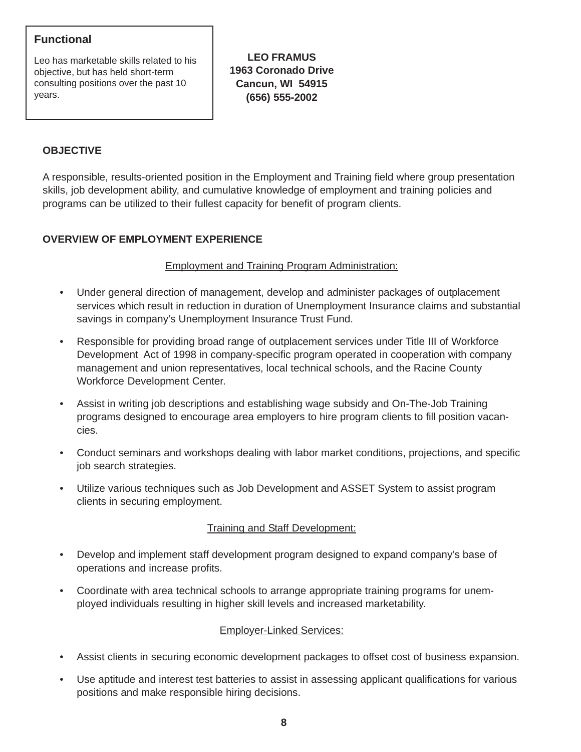# **Functional**

Leo has marketable skills related to his objective, but has held short-term consulting positions over the past 10 years.

**LEO FRAMUS 1963 Coronado Drive Cancun, WI 54915 (656) 555-2002**

# **OBJECTIVE**

A responsible, results-oriented position in the Employment and Training field where group presentation skills, job development ability, and cumulative knowledge of employment and training policies and programs can be utilized to their fullest capacity for benefit of program clients.

# **OVERVIEW OF EMPLOYMENT EXPERIENCE**

#### Employment and Training Program Administration:

- Under general direction of management, develop and administer packages of outplacement services which result in reduction in duration of Unemployment Insurance claims and substantial savings in company's Unemployment Insurance Trust Fund.
- Responsible for providing broad range of outplacement services under Title III of Workforce Development Act of 1998 in company-specific program operated in cooperation with company management and union representatives, local technical schools, and the Racine County Workforce Development Center.
- Assist in writing job descriptions and establishing wage subsidy and On-The-Job Training programs designed to encourage area employers to hire program clients to fill position vacancies.
- Conduct seminars and workshops dealing with labor market conditions, projections, and specific job search strategies.
- Utilize various techniques such as Job Development and ASSET System to assist program clients in securing employment.

### Training and Staff Development:

- Develop and implement staff development program designed to expand company's base of operations and increase profits.
- Coordinate with area technical schools to arrange appropriate training programs for unemployed individuals resulting in higher skill levels and increased marketability.

#### Employer-Linked Services:

- Assist clients in securing economic development packages to offset cost of business expansion.
- Use aptitude and interest test batteries to assist in assessing applicant qualifications for various positions and make responsible hiring decisions.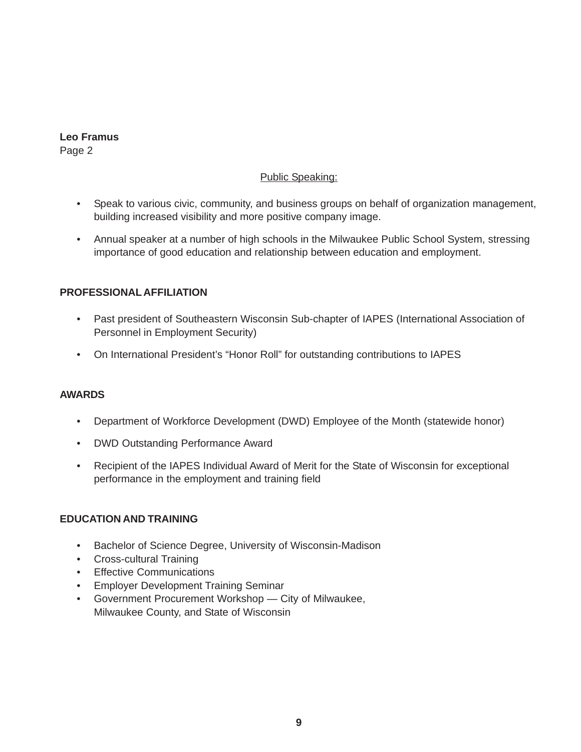#### **Leo Framus** Page 2

### Public Speaking:

- Speak to various civic, community, and business groups on behalf of organization management, building increased visibility and more positive company image.
- Annual speaker at a number of high schools in the Milwaukee Public School System, stressing importance of good education and relationship between education and employment.

#### **PROFESSIONAL AFFILIATION**

- Past president of Southeastern Wisconsin Sub-chapter of IAPES (International Association of Personnel in Employment Security)
- On International President's "Honor Roll" for outstanding contributions to IAPES

#### **AWARDS**

- Department of Workforce Development (DWD) Employee of the Month (statewide honor)
- DWD Outstanding Performance Award
- Recipient of the IAPES Individual Award of Merit for the State of Wisconsin for exceptional performance in the employment and training field

#### **EDUCATION AND TRAINING**

- Bachelor of Science Degree, University of Wisconsin-Madison
- Cross-cultural Training
- Effective Communications
- Employer Development Training Seminar
- Government Procurement Workshop City of Milwaukee, Milwaukee County, and State of Wisconsin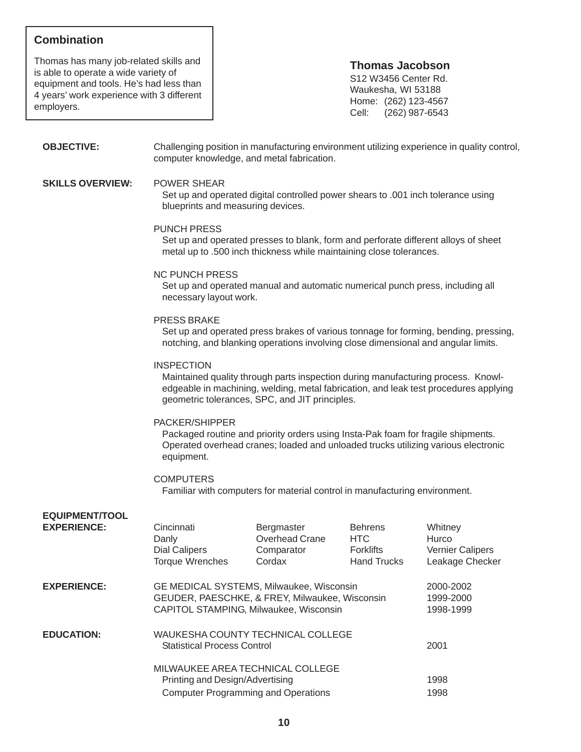# **Combination**

**EQUIPMENT/TOOL**

Thomas has many job-related skills and is able to operate a wide variety of equipment and tools. He's had less than 4 years' work experience with 3 different employers.

#### **Thomas Jacobson**

S12 W3456 Center Rd. Waukesha, WI 53188 Home: (262) 123-4567 Cell: (262) 987-6543

**OBJECTIVE:** Challenging position in manufacturing environment utilizing experience in quality control, computer knowledge, and metal fabrication.

#### **SKILLS OVERVIEW:** POWER SHEAR

Set up and operated digital controlled power shears to .001 inch tolerance using blueprints and measuring devices.

#### PUNCH PRESS

Set up and operated presses to blank, form and perforate different alloys of sheet metal up to .500 inch thickness while maintaining close tolerances.

#### NC PUNCH PRESS

Set up and operated manual and automatic numerical punch press, including all necessary layout work.

#### PRESS BRAKE

Set up and operated press brakes of various tonnage for forming, bending, pressing, notching, and blanking operations involving close dimensional and angular limits.

#### **INSPECTION**

Maintained quality through parts inspection during manufacturing process. Knowledgeable in machining, welding, metal fabrication, and leak test procedures applying geometric tolerances, SPC, and JIT principles.

#### PACKER/SHIPPER

Packaged routine and priority orders using Insta-Pak foam for fragile shipments. Operated overhead cranes; loaded and unloaded trucks utilizing various electronic equipment.

#### **COMPUTERS**

Familiar with computers for material control in manufacturing environment.

| EQUIPMEN <sub>1/100</sub> L<br><b>EXPERIENCE:</b> | Cincinnati<br>Danly<br><b>Dial Calipers</b><br><b>Torque Wrenches</b> | Bergmaster<br>Overhead Crane<br>Comparator<br>Cordax                                                                                 | <b>Behrens</b><br>HTC<br><b>Forklifts</b><br><b>Hand Trucks</b> | Whitney<br>Hurco<br><b>Vernier Calipers</b><br>Leakage Checker |
|---------------------------------------------------|-----------------------------------------------------------------------|--------------------------------------------------------------------------------------------------------------------------------------|-----------------------------------------------------------------|----------------------------------------------------------------|
| <b>EXPERIENCE:</b>                                |                                                                       | GE MEDICAL SYSTEMS, Milwaukee, Wisconsin<br>GEUDER, PAESCHKE, & FREY, Milwaukee, Wisconsin<br>CAPITOL STAMPING, Milwaukee, Wisconsin |                                                                 | 2000-2002<br>1999-2000<br>1998-1999                            |
| <b>EDUCATION:</b>                                 | <b>Statistical Process Control</b>                                    | WAUKESHA COUNTY TECHNICAL COLLEGE<br>MILWAUKEE AREA TECHNICAL COLLEGE                                                                |                                                                 | 2001                                                           |
|                                                   | Printing and Design/Advertising                                       |                                                                                                                                      |                                                                 | 1998                                                           |
|                                                   |                                                                       | <b>Computer Programming and Operations</b>                                                                                           |                                                                 | 1998                                                           |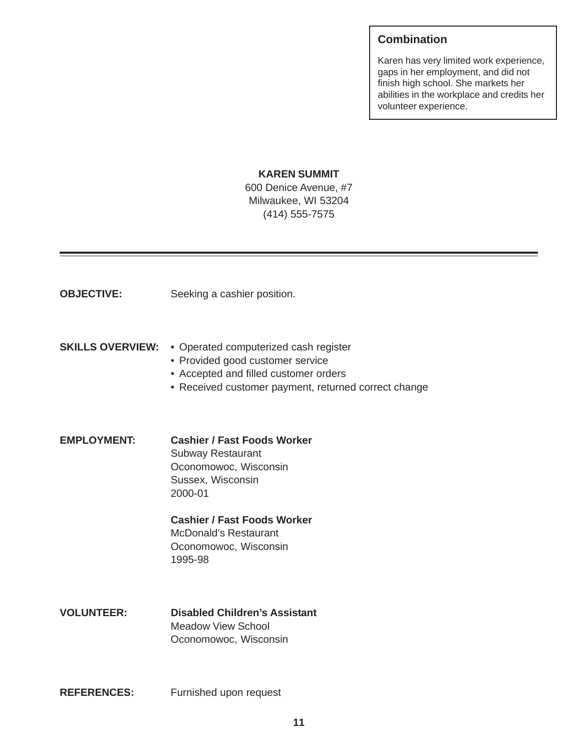# **Combination**

Karen has very limited work experience, gaps in her employment, and did not finish high school. She markets her abilities in the workplace and credits her volunteer experience.

#### **KAREN SUMMIT**

600 Denice Avenue, #7 Milwaukee, WI 53204 (414) 555-7575

| <b>OBJECTIVE:</b>       | Seeking a cashier position.                                                                                                                                                |
|-------------------------|----------------------------------------------------------------------------------------------------------------------------------------------------------------------------|
| <b>SKILLS OVERVIEW:</b> | • Operated computerized cash register<br>• Provided good customer service<br>• Accepted and filled customer orders<br>• Received customer payment, returned correct change |
| <b>EMPLOYMENT:</b>      | <b>Cashier / Fast Foods Worker</b><br><b>Subway Restaurant</b><br>Oconomowoc, Wisconsin<br>Sussex, Wisconsin<br>2000-01                                                    |
|                         | <b>Cashier / Fast Foods Worker</b><br><b>McDonald's Restaurant</b><br>Oconomowoc, Wisconsin<br>1995-98                                                                     |
| <b>VOLUNTEER:</b>       | <b>Disabled Children's Assistant</b><br><b>Meadow View School</b><br>Oconomowoc, Wisconsin                                                                                 |
| <b>REFERENCES:</b>      | Furnished upon request                                                                                                                                                     |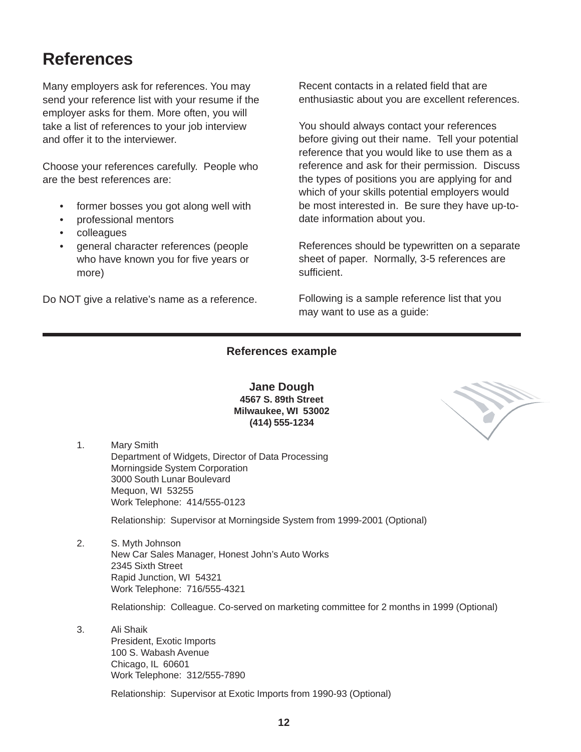# **References**

Many employers ask for references. You may send your reference list with your resume if the employer asks for them. More often, you will take a list of references to your job interview and offer it to the interviewer.

Choose your references carefully. People who are the best references are:

- former bosses you got along well with
- professional mentors
- colleagues
- general character references (people who have known you for five years or more)

Do NOT give a relative's name as a reference.

Recent contacts in a related field that are enthusiastic about you are excellent references.

You should always contact your references before giving out their name. Tell your potential reference that you would like to use them as a reference and ask for their permission. Discuss the types of positions you are applying for and which of your skills potential employers would be most interested in. Be sure they have up-todate information about you.

References should be typewritten on a separate sheet of paper. Normally, 3-5 references are sufficient.

Following is a sample reference list that you may want to use as a guide:

#### **References example**

**Jane Dough 4567 S. 89th Street Milwaukee, WI 53002 (414) 555-1234**

1. Mary Smith Department of Widgets, Director of Data Processing Morningside System Corporation 3000 South Lunar Boulevard Mequon, WI 53255 Work Telephone: 414/555-0123

Relationship: Supervisor at Morningside System from 1999-2001 (Optional)

2. S. Myth Johnson New Car Sales Manager, Honest John's Auto Works 2345 Sixth Street Rapid Junction, WI 54321 Work Telephone: 716/555-4321

Relationship: Colleague. Co-served on marketing committee for 2 months in 1999 (Optional)

3. Ali Shaik President, Exotic Imports 100 S. Wabash Avenue Chicago, IL 60601 Work Telephone: 312/555-7890

Relationship: Supervisor at Exotic Imports from 1990-93 (Optional)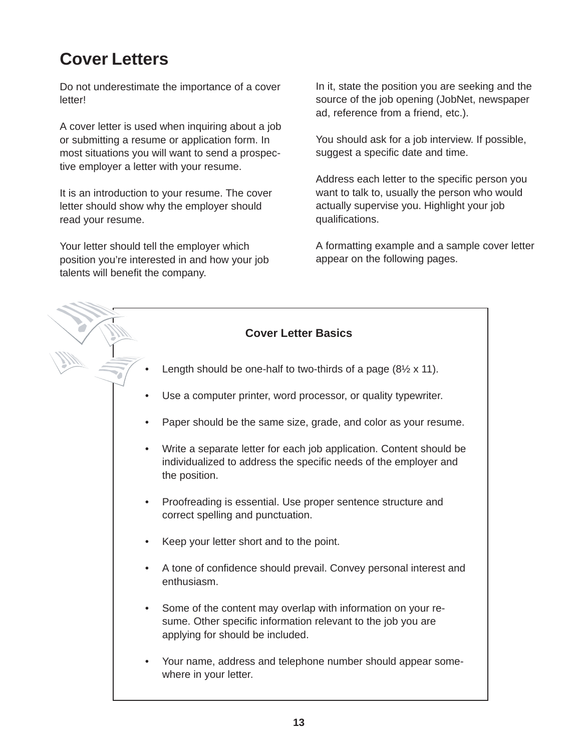# **Cover Letters**

Do not underestimate the importance of a cover letter!

A cover letter is used when inquiring about a job or submitting a resume or application form. In most situations you will want to send a prospective employer a letter with your resume.

It is an introduction to your resume. The cover letter should show why the employer should read your resume.

Your letter should tell the employer which position you're interested in and how your job talents will benefit the company.

In it, state the position you are seeking and the source of the job opening (JobNet, newspaper ad, reference from a friend, etc.).

You should ask for a job interview. If possible, suggest a specific date and time.

Address each letter to the specific person you want to talk to, usually the person who would actually supervise you. Highlight your job qualifications.

A formatting example and a sample cover letter appear on the following pages.

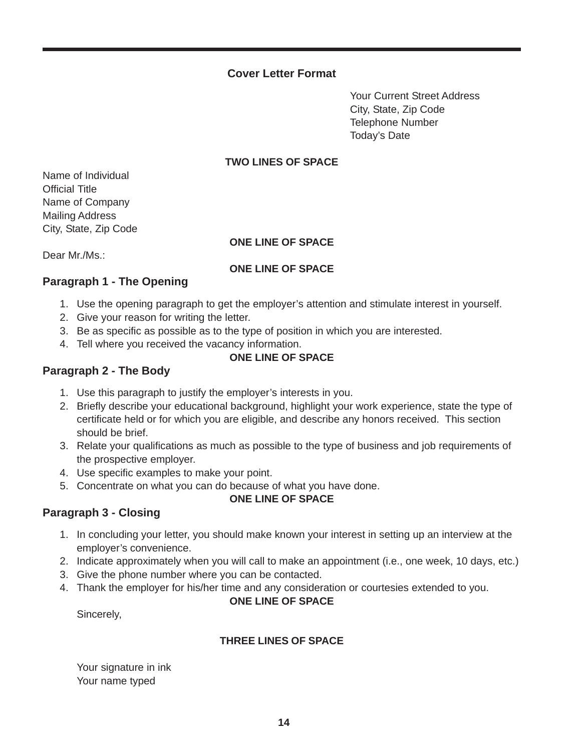### **Cover Letter Format**

Your Current Street Address City, State, Zip Code Telephone Number Today's Date

#### **TWO LINES OF SPACE**

Name of Individual Official Title Name of Company Mailing Address City, State, Zip Code

#### **ONE LINE OF SPACE**

Dear Mr./Ms.:

#### **ONE LINE OF SPACE**

#### **Paragraph 1 - The Opening**

- 1. Use the opening paragraph to get the employer's attention and stimulate interest in yourself.
- 2. Give your reason for writing the letter.
- 3. Be as specific as possible as to the type of position in which you are interested.
- 4. Tell where you received the vacancy information.

### **ONE LINE OF SPACE**

#### **Paragraph 2 - The Body**

- 1. Use this paragraph to justify the employer's interests in you.
- 2. Briefly describe your educational background, highlight your work experience, state the type of certificate held or for which you are eligible, and describe any honors received. This section should be brief.
- 3. Relate your qualifications as much as possible to the type of business and job requirements of the prospective employer.
- 4. Use specific examples to make your point.
- 5. Concentrate on what you can do because of what you have done.

#### **ONE LINE OF SPACE**

### **Paragraph 3 - Closing**

- 1. In concluding your letter, you should make known your interest in setting up an interview at the employer's convenience.
- 2. Indicate approximately when you will call to make an appointment (i.e., one week, 10 days, etc.)
- 3. Give the phone number where you can be contacted.
- 4. Thank the employer for his/her time and any consideration or courtesies extended to you.

#### **ONE LINE OF SPACE**

Sincerely,

#### **THREE LINES OF SPACE**

Your signature in ink Your name typed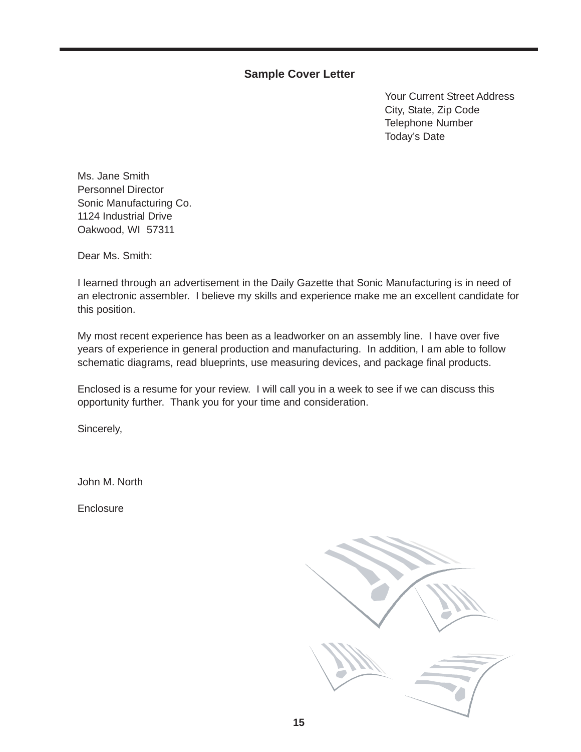### **Sample Cover Letter**

Your Current Street Address City, State, Zip Code Telephone Number Today's Date

Ms. Jane Smith Personnel Director Sonic Manufacturing Co. 1124 Industrial Drive Oakwood, WI 57311

Dear Ms. Smith:

I learned through an advertisement in the Daily Gazette that Sonic Manufacturing is in need of an electronic assembler. I believe my skills and experience make me an excellent candidate for this position.

My most recent experience has been as a leadworker on an assembly line. I have over five years of experience in general production and manufacturing. In addition, I am able to follow schematic diagrams, read blueprints, use measuring devices, and package final products.

Enclosed is a resume for your review. I will call you in a week to see if we can discuss this opportunity further. Thank you for your time and consideration.

Sincerely,

John M. North

Enclosure

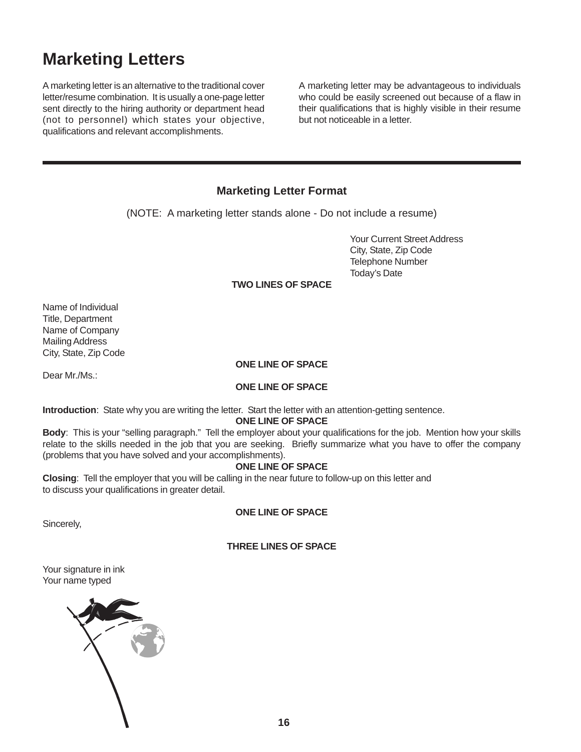# **Marketing Letters**

A marketing letter is an alternative to the traditional cover letter/resume combination. It is usually a one-page letter sent directly to the hiring authority or department head (not to personnel) which states your objective, qualifications and relevant accomplishments.

A marketing letter may be advantageous to individuals who could be easily screened out because of a flaw in their qualifications that is highly visible in their resume but not noticeable in a letter.

# **Marketing Letter Format**

(NOTE: A marketing letter stands alone - Do not include a resume)

Your Current Street Address City, State, Zip Code Telephone Number Today's Date

#### **TWO LINES OF SPACE**

Name of Individual Title, Department Name of Company Mailing Address City, State, Zip Code

#### **ONE LINE OF SPACE**

Dear Mr./Ms.:

#### **ONE LINE OF SPACE**

**Introduction**: State why you are writing the letter. Start the letter with an attention-getting sentence.

#### **ONE LINE OF SPACE**

**Body**: This is your "selling paragraph." Tell the employer about your qualifications for the job. Mention how your skills relate to the skills needed in the job that you are seeking. Briefly summarize what you have to offer the company (problems that you have solved and your accomplishments).

#### **ONE LINE OF SPACE**

**Closing**: Tell the employer that you will be calling in the near future to follow-up on this letter and to discuss your qualifications in greater detail.

#### **ONE LINE OF SPACE**

Sincerely,

#### **THREE LINES OF SPACE**

Your signature in ink Your name typed

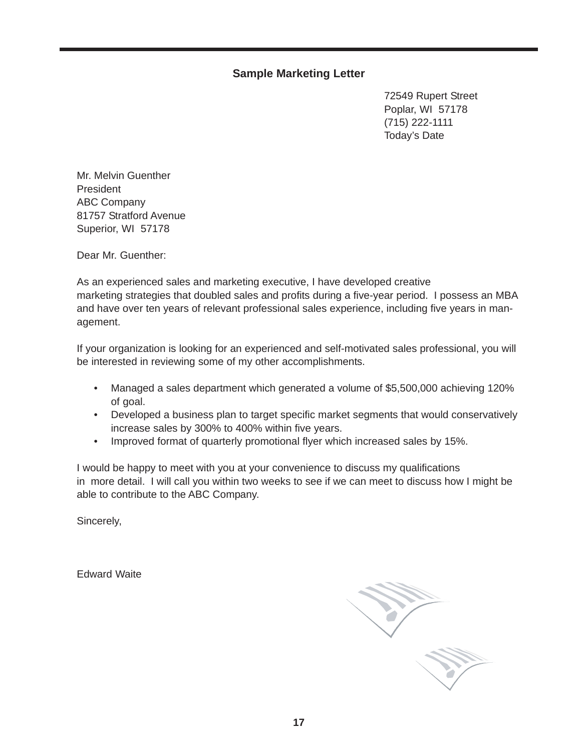# **Sample Marketing Letter**

72549 Rupert Street Poplar, WI 57178 (715) 222-1111 Today's Date

Mr. Melvin Guenther President ABC Company 81757 Stratford Avenue Superior, WI 57178

Dear Mr. Guenther:

As an experienced sales and marketing executive, I have developed creative marketing strategies that doubled sales and profits during a five-year period. I possess an MBA and have over ten years of relevant professional sales experience, including five years in management.

If your organization is looking for an experienced and self-motivated sales professional, you will be interested in reviewing some of my other accomplishments.

- Managed a sales department which generated a volume of \$5,500,000 achieving 120% of goal.
- Developed a business plan to target specific market segments that would conservatively increase sales by 300% to 400% within five years.
- Improved format of quarterly promotional flyer which increased sales by 15%.

I would be happy to meet with you at your convenience to discuss my qualifications in more detail. I will call you within two weeks to see if we can meet to discuss how I might be able to contribute to the ABC Company.

Sincerely,

Edward Waite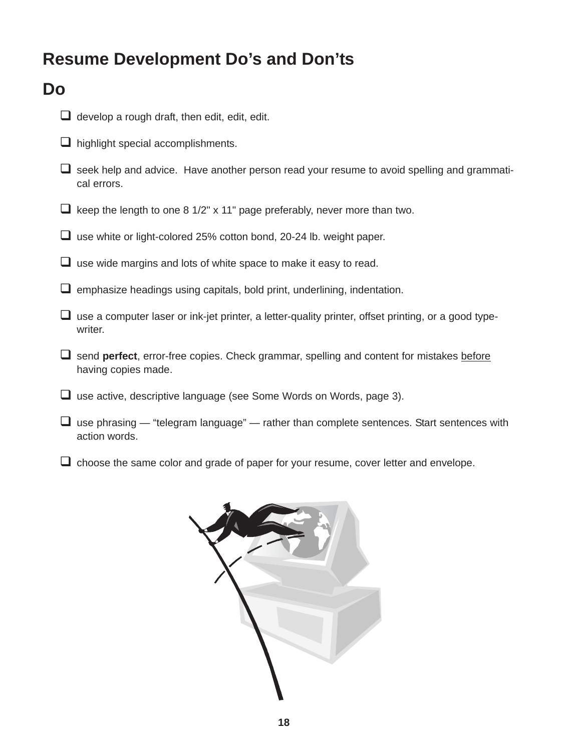# **Resume Development Do's and Don'ts**

# **Do**

- $\Box$  develop a rough draft, then edit, edit, edit.
- $\Box$  highlight special accomplishments.
- $\square$  seek help and advice. Have another person read your resume to avoid spelling and grammatical errors.
- $\Box$  keep the length to one 8 1/2" x 11" page preferably, never more than two.
- $\Box$  use white or light-colored 25% cotton bond, 20-24 lb. weight paper.
- $\Box$  use wide margins and lots of white space to make it easy to read.
- $\square$  emphasize headings using capitals, bold print, underlining, indentation.
- $\Box$  use a computer laser or ink-jet printer, a letter-quality printer, offset printing, or a good typewriter.
- send **perfect**, error-free copies. Check grammar, spelling and content for mistakes before having copies made.
- $\Box$  use active, descriptive language (see Some Words on Words, page 3).
- $\Box$  use phrasing "telegram language" rather than complete sentences. Start sentences with action words.
- $\Box$  choose the same color and grade of paper for your resume, cover letter and envelope.

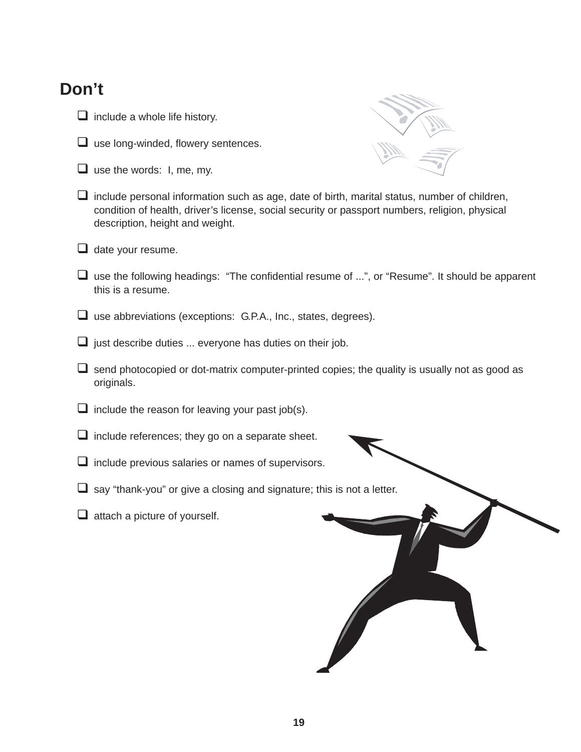# **Don't**

- $\Box$  include a whole life history.
- $\Box$  use long-winded, flowery sentences.
- $\Box$  use the words: I, me, my.



- $\Box$  include personal information such as age, date of birth, marital status, number of children, condition of health, driver's license, social security or passport numbers, religion, physical description, height and weight.
- $\Box$  date your resume.
- $\Box$  use the following headings: "The confidential resume of ...", or "Resume". It should be apparent this is a resume.
- use abbreviations (exceptions: G.P.A., Inc., states, degrees).
- $\Box$  just describe duties ... everyone has duties on their job.
- $\Box$  send photocopied or dot-matrix computer-printed copies; the quality is usually not as good as originals.
- $\Box$  include the reason for leaving your past job(s).
- $\Box$  include references; they go on a separate sheet.
- $\Box$  include previous salaries or names of supervisors.
- $\Box$  say "thank-you" or give a closing and signature; this is not a letter.
- $\Box$  attach a picture of yourself.